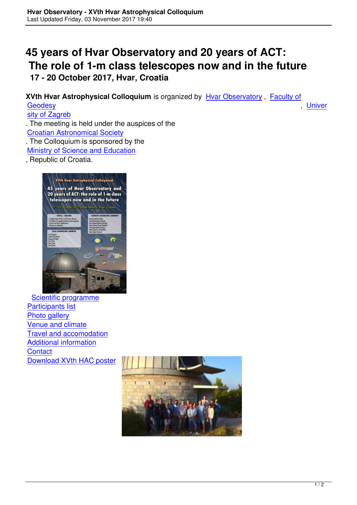## **45 years of Hvar Observatory and 20 years of ACT: The role of 1-m class telescopes now and in the future 17 - 20 October 2017, Hvar, Croatia**

**XVth Hvar Astrophysical Colloquium** is organized by Hvar Observatory , Faculty of Geodesy , Univer

sity of Zagreb

. The meeting is held under the auspices of the [Croatian](http://www.geof.unzg.hr) Astronomical Society [. The Colloquiu](http://www.unizg.hr)m is sponsored by the Ministry of Science and Education

[, Republic of Croatia.](http://www.astronomija.hr)



 Scientific programme Participants list Photo gallery [Venue and climate](index.php/en/meetings/xv-hac/hac-xv-programme) [Travel and acco](index.php/en/meetings/xv-hac/hac-xv-participants)modation [Additional info](index.php/en/meetings/xv-hac/photos)rmation **[Contact](index.php/en/meetings/xv-hac/hac-xv-venue)** [Download XVth HAC post](index.php/en/meetings/xv-hac/hac-xv-travel)er